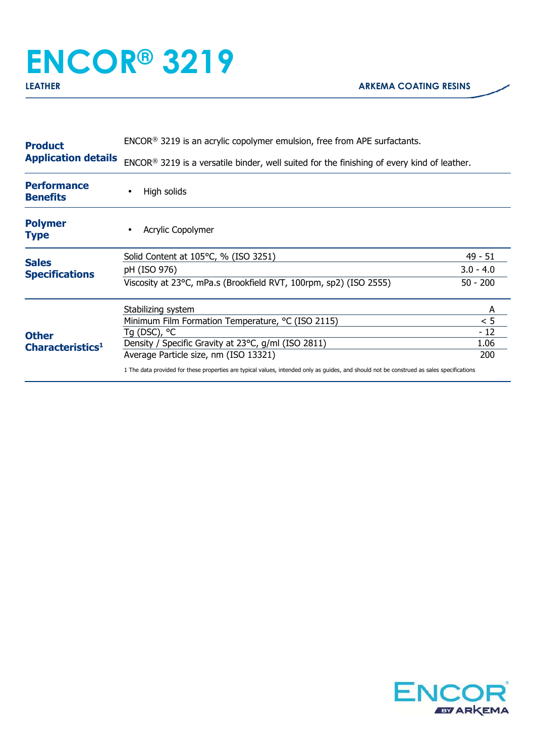## **ENCOR® 3219**

| <b>Product</b>                                                                        | $ENCOR®$ 3219 is an acrylic copolymer emulsion, free from APE surfactants.                                                                |             |  |
|---------------------------------------------------------------------------------------|-------------------------------------------------------------------------------------------------------------------------------------------|-------------|--|
| <b>Application details</b>                                                            | ENCOR® 3219 is a versatile binder, well suited for the finishing of every kind of leather.                                                |             |  |
| <b>Performance</b><br><b>Benefits</b>                                                 | High solids                                                                                                                               |             |  |
| <b>Polymer</b><br>Type                                                                | <b>Acrylic Copolymer</b>                                                                                                                  |             |  |
|                                                                                       | Solid Content at 105°C, % (ISO 3251)                                                                                                      | $49 - 51$   |  |
| <b>Sales</b><br><b>Specifications</b><br><b>Other</b><br>Characteristics <sup>1</sup> | pH (ISO 976)                                                                                                                              | $3.0 - 4.0$ |  |
|                                                                                       | Viscosity at 23°C, mPa.s (Brookfield RVT, 100rpm, sp2) (ISO 2555)                                                                         | $50 - 200$  |  |
|                                                                                       | Stabilizing system                                                                                                                        | A           |  |
|                                                                                       | Minimum Film Formation Temperature, °C (ISO 2115)                                                                                         | < 5         |  |
|                                                                                       | Tg (DSC), °C                                                                                                                              | $-12$       |  |
|                                                                                       | Density / Specific Gravity at 23°C, g/ml (ISO 2811)                                                                                       | 1.06        |  |
|                                                                                       | Average Particle size, nm (ISO 13321)                                                                                                     | 200         |  |
|                                                                                       | 1 The data provided for these properties are typical values, intended only as quides, and should not be construed as sales specifications |             |  |